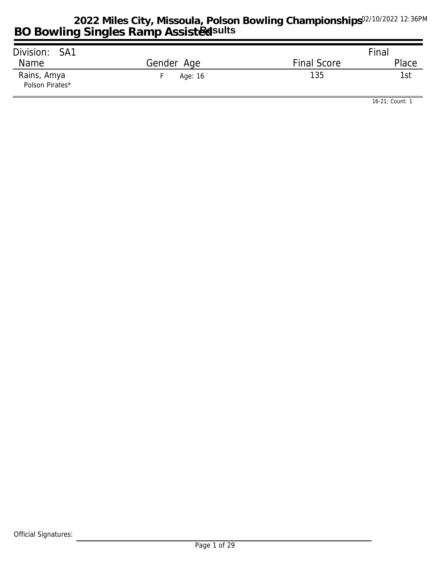| Division: SA1                  |            |                    | Final |
|--------------------------------|------------|--------------------|-------|
| Name                           | Gender Age | <b>Final Score</b> | Place |
| Rains, Amya<br>Polson Pirates* | Age: 16    | 135                | 1st   |

*16-21; Count: 1*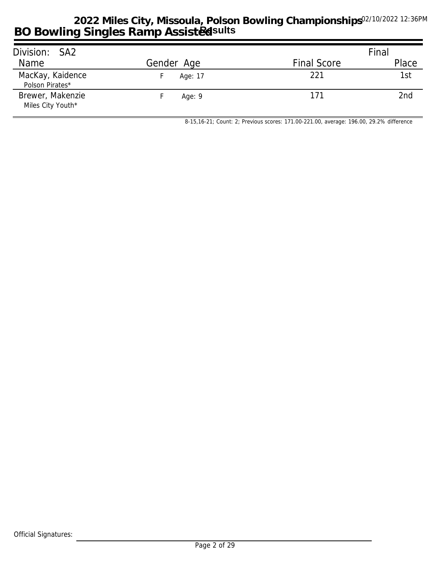| Division: SA2                         |            |                    | Final |
|---------------------------------------|------------|--------------------|-------|
| Name                                  | Gender Age | <b>Final Score</b> | Place |
| MacKay, Kaidence<br>Polson Pirates*   | Age: 17    | 221                | 1st   |
| Brewer, Makenzie<br>Miles City Youth* | Age: $9$   | 171                | 2nd   |

*8-15,16-21; Count: 2; Previous scores: 171.00-221.00, average: 196.00, 29.2% difference*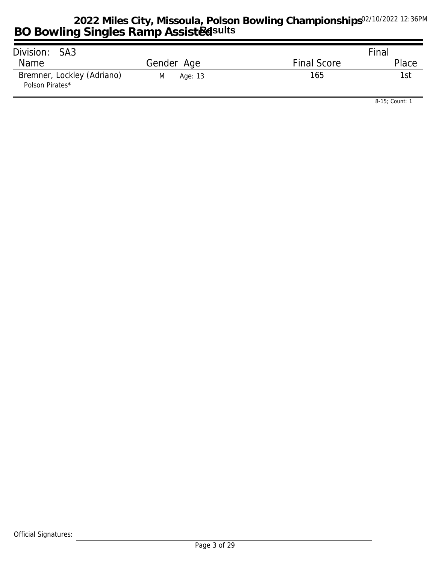| Division: SA3                                 |              |                    | Final |
|-----------------------------------------------|--------------|--------------------|-------|
| Name                                          | Gender Age   | <b>Final Score</b> | Place |
| Bremner, Lockley (Adriano)<br>Polson Pirates* | M<br>Age: 13 | 165                | 1st   |

*8-15; Count: 1*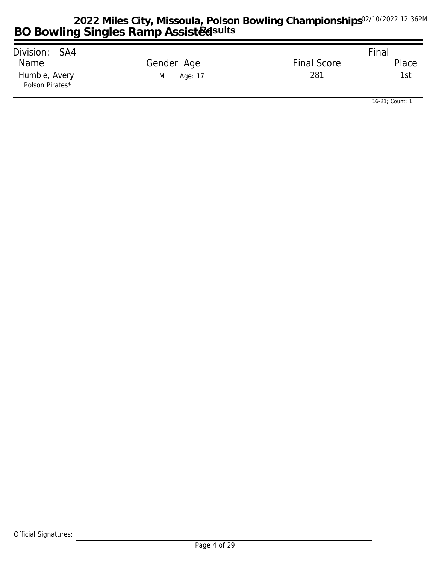| Division: SA4                    |              |                    | Final |
|----------------------------------|--------------|--------------------|-------|
| Name                             | Gender Age   | <b>Final Score</b> | Place |
| Humble, Avery<br>Polson Pirates* | M<br>Age: 17 | 281                | 1st   |

*16-21; Count: 1*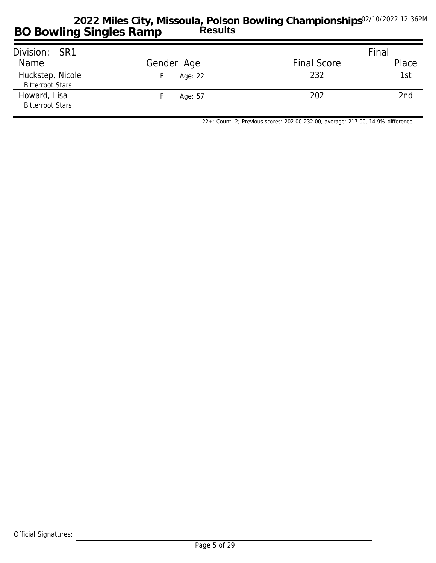| Division: SR1                               |            |                    | Final |
|---------------------------------------------|------------|--------------------|-------|
| Name                                        | Gender Age | <b>Final Score</b> | Place |
| Huckstep, Nicole<br><b>Bitterroot Stars</b> | Age: 22    | 232                | 1st   |
| Howard, Lisa<br><b>Bitterroot Stars</b>     | Age: 57    | 202                | 2nd   |

*22+; Count: 2; Previous scores: 202.00-232.00, average: 217.00, 14.9% difference*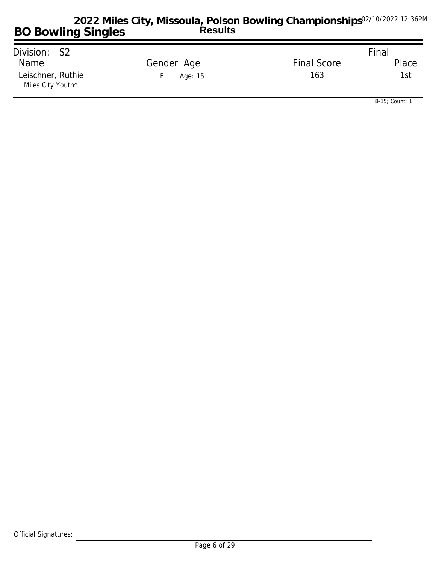| Division: S2                           |            |                    | Final |
|----------------------------------------|------------|--------------------|-------|
| Name                                   | Gender Age | <b>Final Score</b> | Place |
| Leischner, Ruthie<br>Miles City Youth* | Age: 15    | 163                | 1st   |

*8-15; Count: 1*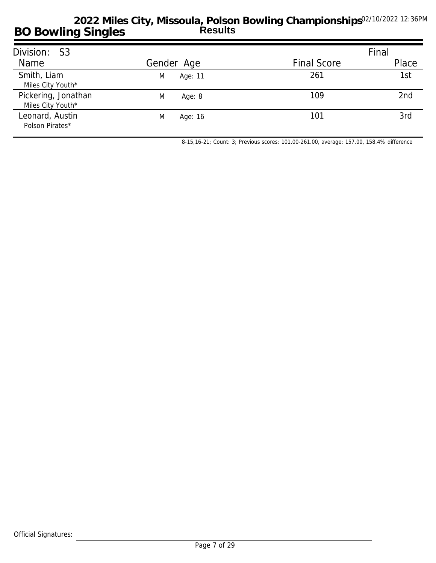| Division: S3                             |              |                    | Final |
|------------------------------------------|--------------|--------------------|-------|
| Name                                     | Gender Age   | <b>Final Score</b> | Place |
| Smith, Liam<br>Miles City Youth*         | M<br>Age: 11 | 261                | 1st   |
| Pickering, Jonathan<br>Miles City Youth* | M<br>Age: 8  | 109                | 2nd   |
| Leonard, Austin<br>Polson Pirates*       | M<br>Age: 16 | 101                | 3rd   |

*8-15,16-21; Count: 3; Previous scores: 101.00-261.00, average: 157.00, 158.4% difference*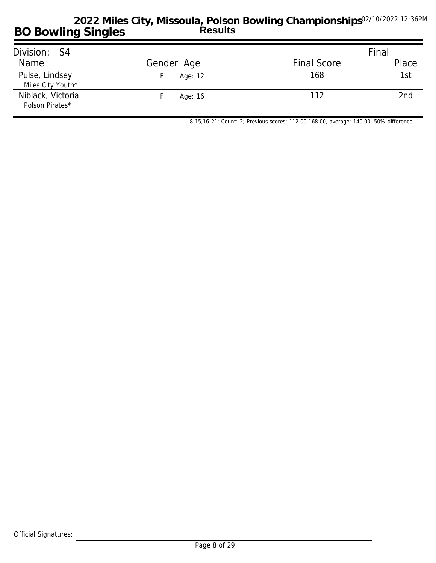| Division: S4                         |            |                    | Final |
|--------------------------------------|------------|--------------------|-------|
| Name                                 | Gender Age | <b>Final Score</b> | Place |
| Pulse, Lindsey<br>Miles City Youth*  | Age: 12    | 168                | 1st   |
| Niblack, Victoria<br>Polson Pirates* | Age: 16    | 112                | 2nd   |

*8-15,16-21; Count: 2; Previous scores: 112.00-168.00, average: 140.00, 50% difference*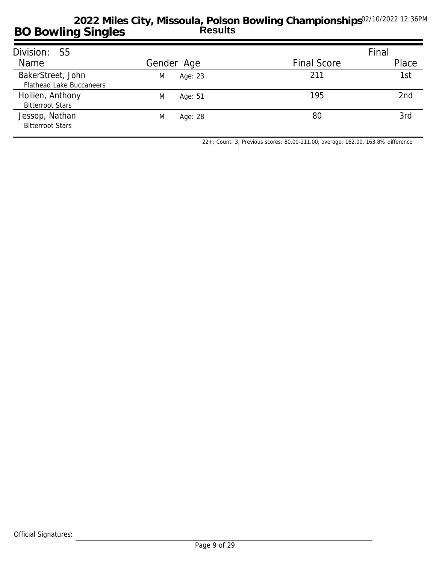| Division: S5                                         |              |                    | Final |
|------------------------------------------------------|--------------|--------------------|-------|
| Name                                                 | Gender Age   | <b>Final Score</b> | Place |
| BakerStreet, John<br><b>Flathead Lake Buccaneers</b> | Age: 23<br>M | 211                | 1st   |
| Hoilien, Anthony<br><b>Bitterroot Stars</b>          | M<br>Age: 51 | 195                | 2nd   |
| Jessop, Nathan<br><b>Bitterroot Stars</b>            | M<br>Age: 28 | 80                 | 3rd   |

*22+; Count: 3; Previous scores: 80.00-211.00, average: 162.00, 163.8% difference*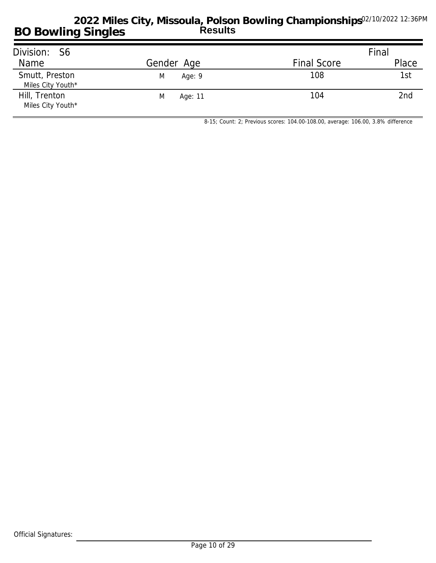| Division: S6                        |               |                    | Final |
|-------------------------------------|---------------|--------------------|-------|
| Name                                | Gender Age    | <b>Final Score</b> | Place |
| Smutt, Preston<br>Miles City Youth* | M<br>Age: $9$ | 108                | 1st   |
| Hill, Trenton<br>Miles City Youth*  | M<br>Age: 11  | 104                | 2nd   |

*8-15; Count: 2; Previous scores: 104.00-108.00, average: 106.00, 3.8% difference*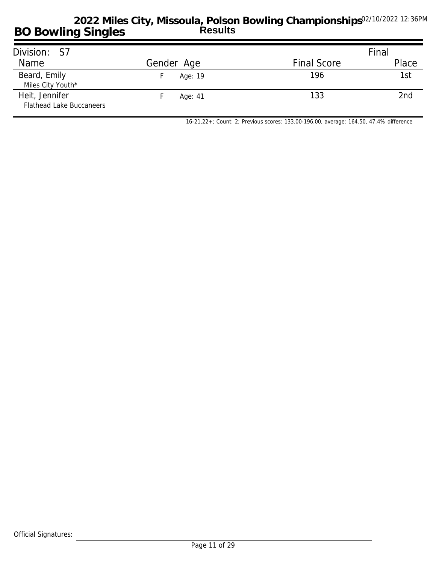| Division: S7                                      |            |                    | Final |
|---------------------------------------------------|------------|--------------------|-------|
| Name                                              | Gender Age | <b>Final Score</b> | Place |
| Beard, Emily<br>Miles City Youth*                 | Age: 19    | 196                | 1st   |
| Heit, Jennifer<br><b>Flathead Lake Buccaneers</b> | Age: 41    | 133                | 2nd   |

*16-21,22+; Count: 2; Previous scores: 133.00-196.00, average: 164.50, 47.4% difference*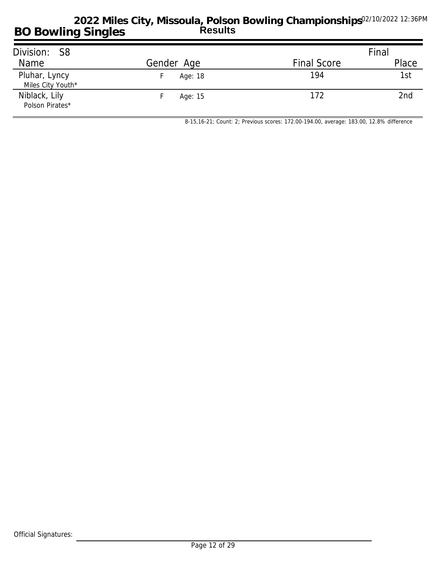| Division: S8      |            |                    | Final |
|-------------------|------------|--------------------|-------|
| Name              | Gender Age | <b>Final Score</b> | Place |
|                   |            |                    |       |
| Pluhar, Lyncy     | Age: 18    | 194                | 1st   |
| Miles City Youth* |            |                    |       |
| Niblack, Lily     | Age: 15    | 172                | 2nd   |
| Polson Pirates*   |            |                    |       |

*8-15,16-21; Count: 2; Previous scores: 172.00-194.00, average: 183.00, 12.8% difference*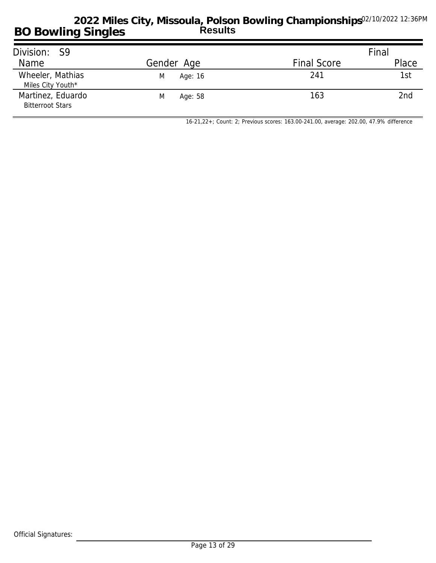| Division: S9                                 |              |                    | Final |
|----------------------------------------------|--------------|--------------------|-------|
| Name                                         | Gender Age   | <b>Final Score</b> | Place |
| Wheeler, Mathias<br>Miles City Youth*        | M<br>Age: 16 | 241                | 1st   |
| Martinez, Eduardo<br><b>Bitterroot Stars</b> | M<br>Age: 58 | 163                | 2nd   |

*16-21,22+; Count: 2; Previous scores: 163.00-241.00, average: 202.00, 47.9% difference*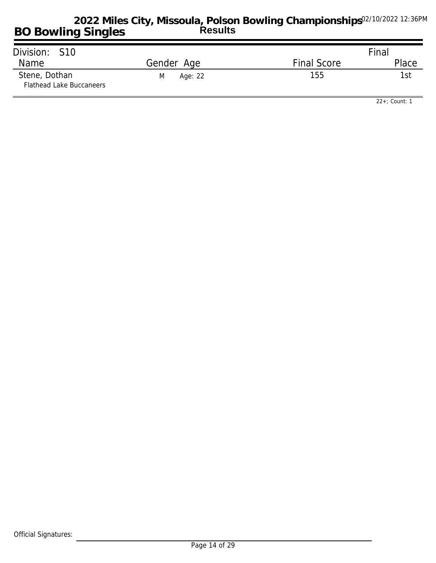| Division: S10                                    |              |                    | Final |
|--------------------------------------------------|--------------|--------------------|-------|
| Name                                             | Gender Age   | <b>Final Score</b> | Place |
| Stene, Dothan<br><b>Flathead Lake Buccaneers</b> | Age: 22<br>M | 155                | 1st   |

*22+; Count: 1*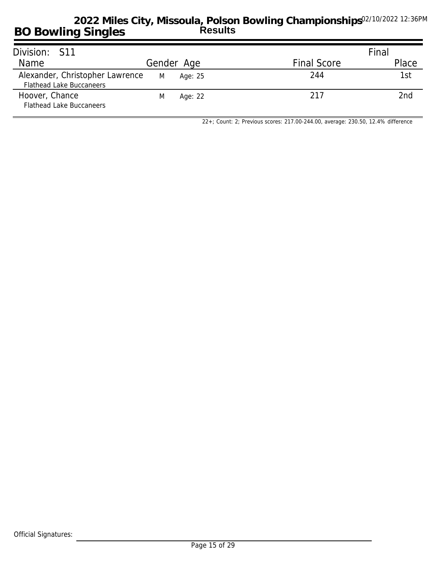| Division: S11                                                      |   |            |                    | Final |
|--------------------------------------------------------------------|---|------------|--------------------|-------|
| Name                                                               |   | Gender Age | <b>Final Score</b> | Place |
| Alexander, Christopher Lawrence<br><b>Flathead Lake Buccaneers</b> | M | Age: 25    | 244                | 1st   |
| Hoover, Chance<br><b>Flathead Lake Buccaneers</b>                  | M | Age: 22    | 217                | 2nd   |

*22+; Count: 2; Previous scores: 217.00-244.00, average: 230.50, 12.4% difference*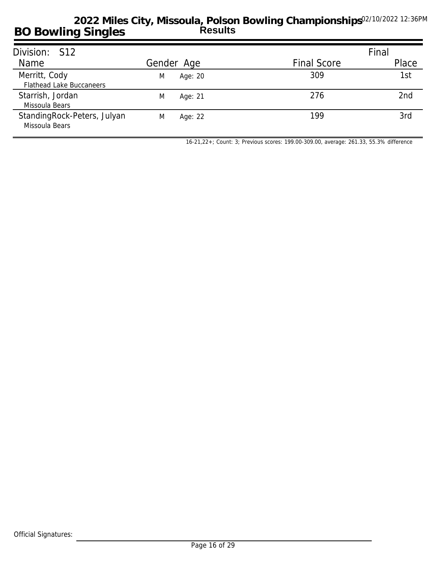| Division: S12                                 |              |                    | Final |
|-----------------------------------------------|--------------|--------------------|-------|
| Name                                          | Gender Age   | <b>Final Score</b> | Place |
| Merritt, Cody                                 | Age: 20<br>M | 309                | 1st   |
| <b>Flathead Lake Buccaneers</b>               |              |                    |       |
| Starrish, Jordan                              | M<br>Age: 21 | 276                | 2nd   |
| Missoula Bears                                |              |                    |       |
| StandingRock-Peters, Julyan<br>Missoula Bears | M<br>Age: 22 | 199                | 3rd   |

*16-21,22+; Count: 3; Previous scores: 199.00-309.00, average: 261.33, 55.3% difference*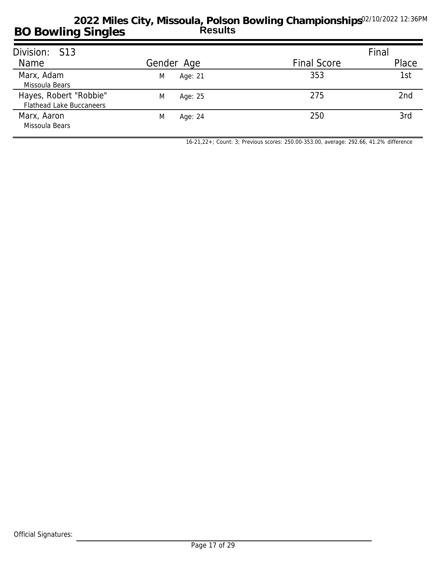| Division: S13                                             |              |                    | Final |
|-----------------------------------------------------------|--------------|--------------------|-------|
| Name                                                      | Gender Age   | <b>Final Score</b> | Place |
| Marx, Adam<br>Missoula Bears                              | Age: 21<br>M | 353                | 1st   |
| Hayes, Robert "Robbie"<br><b>Flathead Lake Buccaneers</b> | M<br>Age: 25 | 275                | 2nd   |
| Marx, Aaron<br>Missoula Bears                             | M<br>Age: 24 | 250                | 3rd   |

*16-21,22+; Count: 3; Previous scores: 250.00-353.00, average: 292.66, 41.2% difference*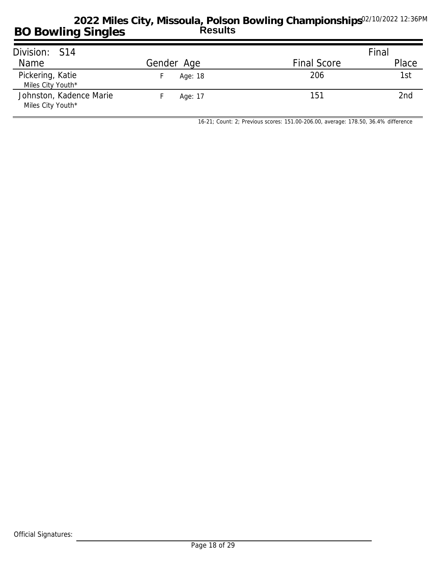| Division: S14                                |            |                    | Final |
|----------------------------------------------|------------|--------------------|-------|
| Name                                         | Gender Age | <b>Final Score</b> | Place |
| Pickering, Katie<br>Miles City Youth*        | Age: 18    | 206                | 1st   |
| Johnston, Kadence Marie<br>Miles City Youth* | Age: 17    | 151                | 2nd   |

*16-21; Count: 2; Previous scores: 151.00-206.00, average: 178.50, 36.4% difference*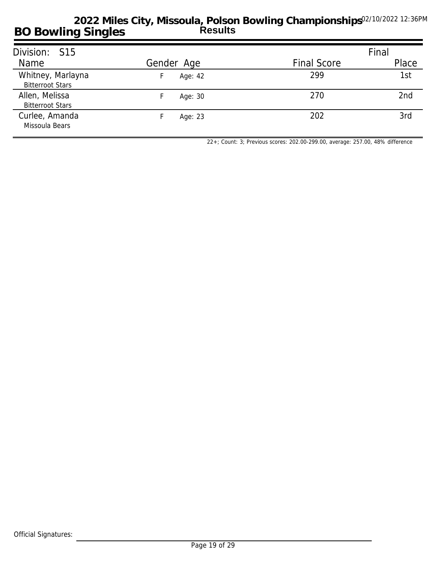| Division: S15                                |            |                    | Final |
|----------------------------------------------|------------|--------------------|-------|
| Name                                         | Gender Age | <b>Final Score</b> | Place |
| Whitney, Marlayna<br><b>Bitterroot Stars</b> | Age: 42    | 299                | 1st   |
| Allen, Melissa<br><b>Bitterroot Stars</b>    | Age: 30    | 270                | 2nd   |
| Curlee, Amanda<br>Missoula Bears             | Age: 23    | 202                | 3rd   |

*22+; Count: 3; Previous scores: 202.00-299.00, average: 257.00, 48% difference*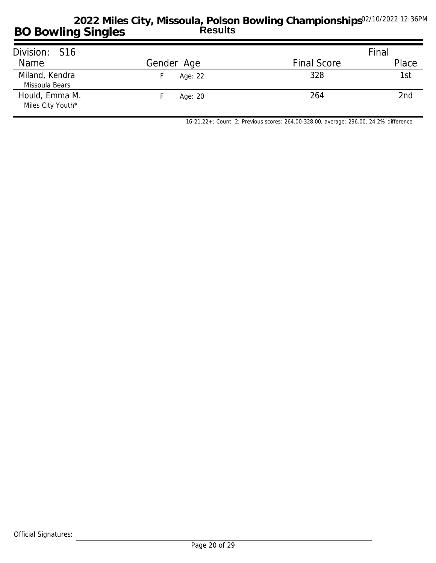| Division: S16                       |            |                    | Final |
|-------------------------------------|------------|--------------------|-------|
| Name                                | Gender Age | <b>Final Score</b> | Place |
| Miland, Kendra<br>Missoula Bears    | Age: 22    | 328                | 1st   |
| Hould, Emma M.<br>Miles City Youth* | Age: 20    | 264                | 2nd   |

*16-21,22+; Count: 2; Previous scores: 264.00-328.00, average: 296.00, 24.2% difference*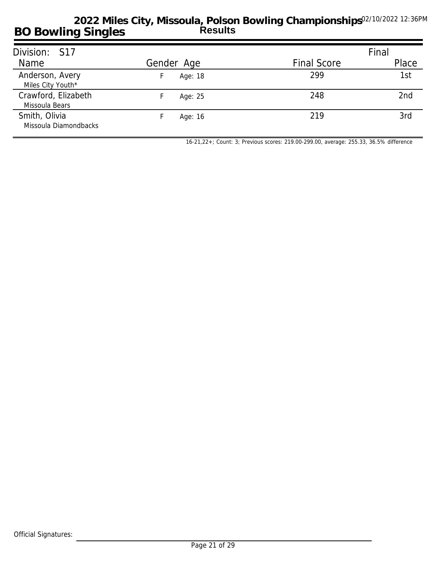| Division: S17                          |            |                    | Final           |
|----------------------------------------|------------|--------------------|-----------------|
| Name                                   | Gender Age | <b>Final Score</b> | Place           |
| Anderson, Avery<br>Miles City Youth*   | Age: 18    | 299                | 1st             |
| Crawford, Elizabeth<br>Missoula Bears  | Age: 25    | 248                | 2 <sub>nd</sub> |
| Smith, Olivia<br>Missoula Diamondbacks | Age: 16    | 219                | 3rd             |

*16-21,22+; Count: 3; Previous scores: 219.00-299.00, average: 255.33, 36.5% difference*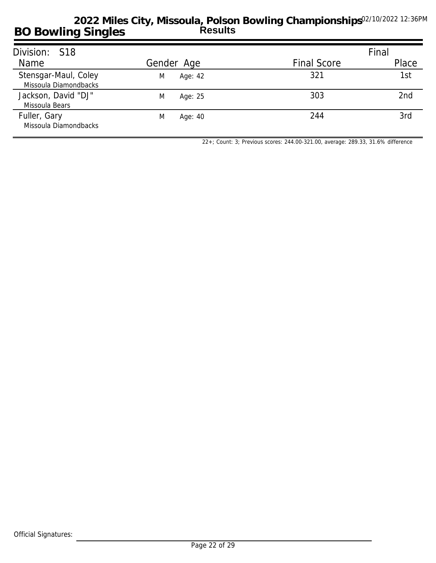| Division: S18                                 |              |                    | Final           |
|-----------------------------------------------|--------------|--------------------|-----------------|
| Name                                          | Gender Age   | <b>Final Score</b> | Place           |
| Stensgar-Maul, Coley<br>Missoula Diamondbacks | M<br>Age: 42 | 321                | 1st             |
| Jackson, David "DJ"<br>Missoula Bears         | M<br>Age: 25 | 303                | 2 <sub>nd</sub> |
| Fuller, Gary<br>Missoula Diamondbacks         | M<br>Age: 40 | 244                | 3rd             |

*22+; Count: 3; Previous scores: 244.00-321.00, average: 289.33, 31.6% difference*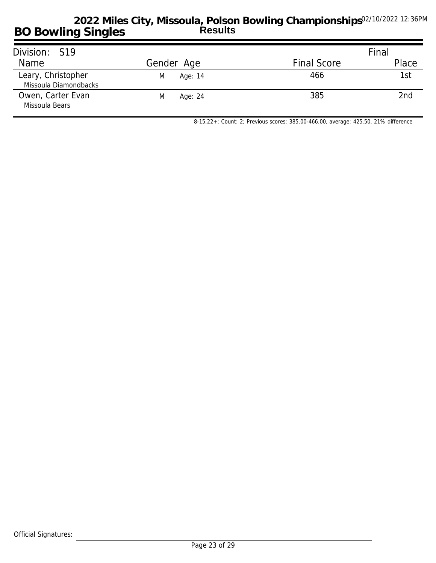| Division: S19                               |              |                    | Final |
|---------------------------------------------|--------------|--------------------|-------|
| Name                                        | Gender Age   | <b>Final Score</b> | Place |
| Leary, Christopher<br>Missoula Diamondbacks | Age: 14<br>M | 466                | 1st   |
| Owen, Carter Evan<br>Missoula Bears         | M<br>Age: 24 | 385                | 2nd   |

*8-15,22+; Count: 2; Previous scores: 385.00-466.00, average: 425.50, 21% difference*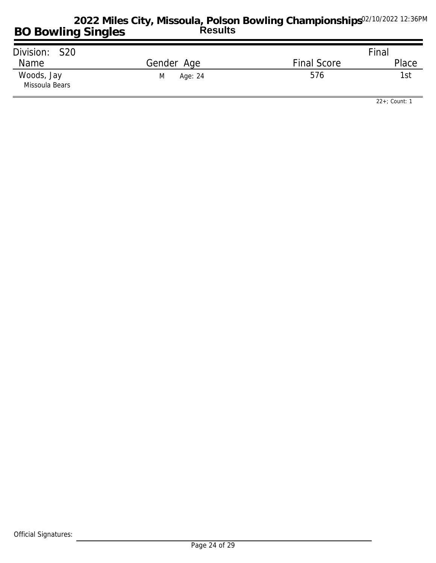| Division: S20                |              |                    | Final |
|------------------------------|--------------|--------------------|-------|
| Name                         | Gender Age   | <b>Final Score</b> | Place |
| Woods, Jay<br>Missoula Bears | Age: 24<br>M | 576                | -st   |

*22+; Count: 1*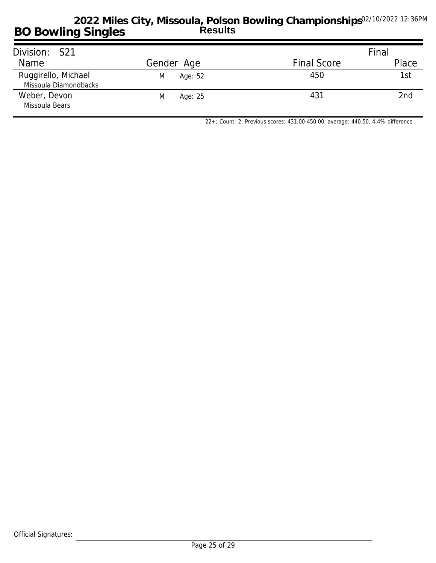| Division: S21                                |              |                    | Final |
|----------------------------------------------|--------------|--------------------|-------|
| Name                                         | Gender Age   | <b>Final Score</b> | Place |
| Ruggirello, Michael<br>Missoula Diamondbacks | M<br>Age: 52 | 450                | 1st   |
| Weber, Devon<br>Missoula Bears               | Age: 25<br>M | 431                | 2nd   |

*22+; Count: 2; Previous scores: 431.00-450.00, average: 440.50, 4.4% difference*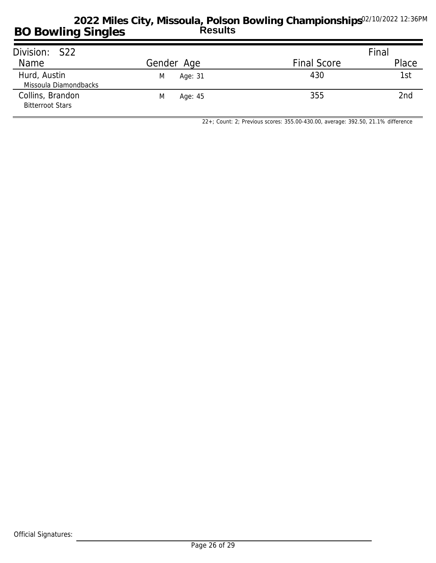| Division: S22                               |              |                    | Final |
|---------------------------------------------|--------------|--------------------|-------|
| Name                                        | Gender Age   | <b>Final Score</b> | Place |
| Hurd, Austin<br>Missoula Diamondbacks       | Age: 31<br>M | 430                | 1st   |
| Collins, Brandon<br><b>Bitterroot Stars</b> | M<br>Age: 45 | 355                | 2nd   |

*22+; Count: 2; Previous scores: 355.00-430.00, average: 392.50, 21.1% difference*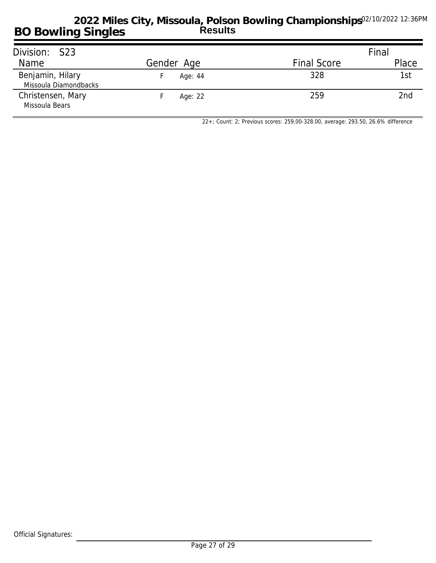| Division: S23                             |            |                    | Final |
|-------------------------------------------|------------|--------------------|-------|
| Name                                      | Gender Age | <b>Final Score</b> | Place |
| Benjamin, Hilary<br>Missoula Diamondbacks | Age: 44    | 328                | 1st   |
| Christensen, Mary<br>Missoula Bears       | Age: 22    | 259                | 2nd   |

*22+; Count: 2; Previous scores: 259.00-328.00, average: 293.50, 26.6% difference*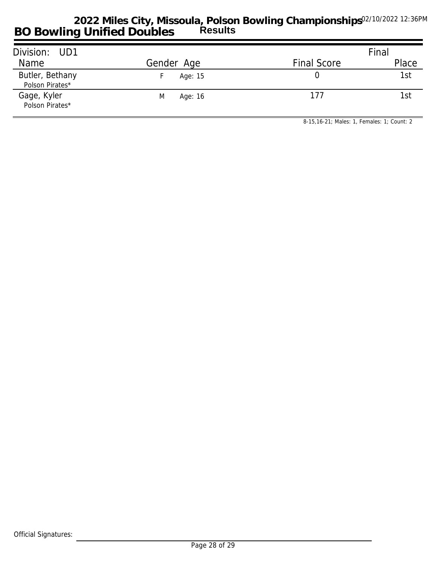| Division: UD1                      |              |                    | Final |  |
|------------------------------------|--------------|--------------------|-------|--|
| Name                               | Gender Age   | <b>Final Score</b> | Place |  |
| Butler, Bethany<br>Polson Pirates* | Age: 15      |                    | 1st   |  |
| Gage, Kyler<br>Polson Pirates*     | Age: 16<br>M | 177                | 1st   |  |

*8-15,16-21; Males: 1, Females: 1; Count: 2*